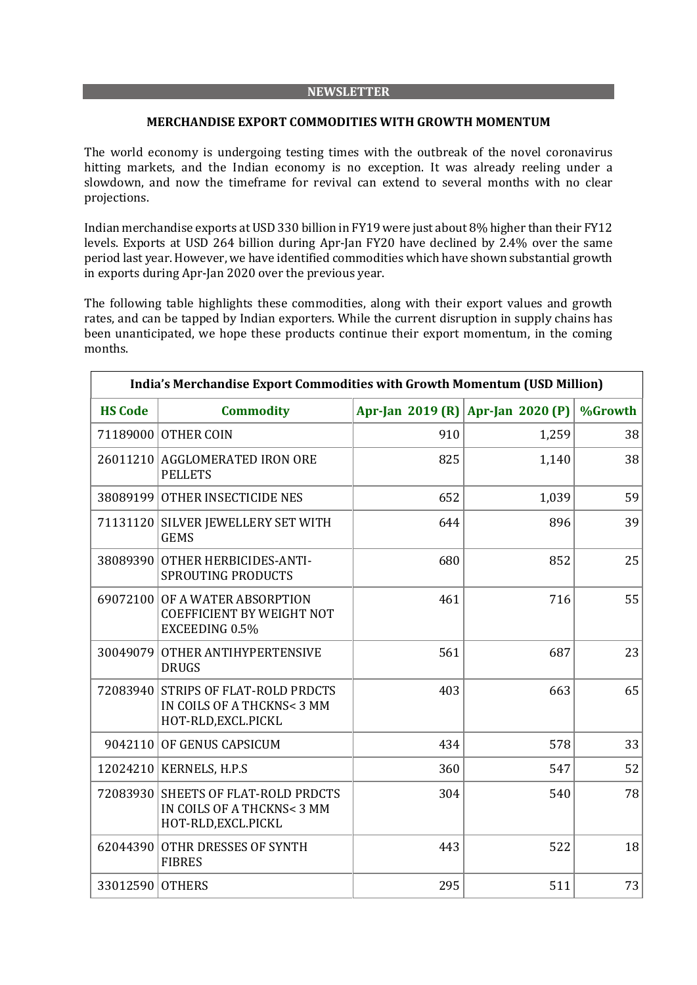#### **NEWSLETTER**

#### **MERCHANDISE EXPORT COMMODITIES WITH GROWTH MOMENTUM**

The world economy is undergoing testing times with the outbreak of the novel coronavirus hitting markets, and the Indian economy is no exception. It was already reeling under a slowdown, and now the timeframe for revival can extend to several months with no clear projections.

Indian merchandise exports at USD 330 billion in FY19 were just about 8% higher than their FY12 levels. Exports at USD 264 billion during Apr-Jan FY20 have declined by 2.4% over the same period last year. However, we have identified commodities which have shown substantial growth in exports during Apr-Jan 2020 over the previous year.

The following table highlights these commodities, along with their export values and growth rates, and can be tapped by Indian exporters. While the current disruption in supply chains has been unanticipated, we hope these products continue their export momentum, in the coming months.

| India's Merchandise Export Commodities with Growth Momentum (USD Million) |                                                                                           |     |                                   |         |  |  |
|---------------------------------------------------------------------------|-------------------------------------------------------------------------------------------|-----|-----------------------------------|---------|--|--|
| <b>HS Code</b>                                                            | <b>Commodity</b>                                                                          |     | Apr-Jan 2019 (R) Apr-Jan 2020 (P) | %Growth |  |  |
|                                                                           | 71189000 OTHER COIN                                                                       | 910 | 1,259                             | 38      |  |  |
|                                                                           | 26011210 AGGLOMERATED IRON ORE<br><b>PELLETS</b>                                          | 825 | 1,140                             | 38      |  |  |
|                                                                           | 38089199 OTHER INSECTICIDE NES                                                            | 652 | 1,039                             | 59      |  |  |
|                                                                           | 71131120 SILVER JEWELLERY SET WITH<br><b>GEMS</b>                                         | 644 | 896                               | 39      |  |  |
| 38089390                                                                  | <b>OTHER HERBICIDES-ANTI-</b><br><b>SPROUTING PRODUCTS</b>                                | 680 | 852                               | 25      |  |  |
|                                                                           | 69072100 OF A WATER ABSORPTION<br><b>COEFFICIENT BY WEIGHT NOT</b><br>EXCEEDING 0.5%      | 461 | 716                               | 55      |  |  |
| 30049079                                                                  | <b>OTHER ANTIHYPERTENSIVE</b><br><b>DRUGS</b>                                             | 561 | 687                               | 23      |  |  |
| 72083940                                                                  | <b>STRIPS OF FLAT-ROLD PRDCTS</b><br>IN COILS OF A THCKNS< 3 MM<br>HOT-RLD, EXCL. PICKL   | 403 | 663                               | 65      |  |  |
|                                                                           | 9042110 OF GENUS CAPSICUM                                                                 | 434 | 578                               | 33      |  |  |
|                                                                           | 12024210 KERNELS, H.P.S                                                                   | 360 | 547                               | 52      |  |  |
|                                                                           | 72083930 SHEETS OF FLAT-ROLD PRDCTS<br>IN COILS OF A THCKNS< 3 MM<br>HOT-RLD, EXCL. PICKL | 304 | 540                               | 78      |  |  |
| 62044390                                                                  | <b>OTHR DRESSES OF SYNTH</b><br><b>FIBRES</b>                                             | 443 | 522                               | 18      |  |  |
| 33012590 OTHERS                                                           |                                                                                           | 295 | 511                               | 73      |  |  |